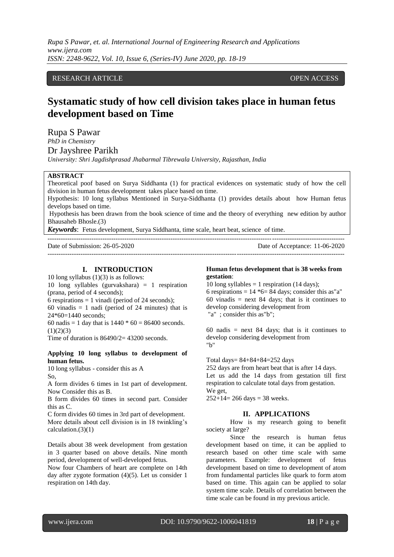*Rupa S Pawar, et. al. International Journal of Engineering Research and Applications www.ijera.com ISSN: 2248-9622, Vol. 10, Issue 6, (Series-IV) June 2020, pp. 18-19*

## RESEARCH ARTICLE **CONSERVERS** OPEN ACCESS

# **Systamatic study of how cell division takes place in human fetus development based on Time**

Rupa S Pawar

*PhD in Chemistry*

Dr Jayshree Parikh

*University: Shri Jagdishprasad Jhabarmal Tibrewala University, Rajasthan, India*

## **ABSTRACT**

Theoretical poof based on Surya Siddhanta (1) for practical evidences on systematic study of how the cell division in human fetus development takes place based on time.

Hypothesis: 10 long syllabus Mentioned in Surya-Siddhanta (1) provides details about how Human fetus develops based on time.

Hypothesis has been drawn from the book science of time and the theory of everything new edition by author Bhausaheb Bhosle.(3)

*Keywords*: Fetus development, Surya Siddhanta, time scale, heart beat, science of time.

--------------------------------------------------------------------------------------------------------------------------------------- Date of Submission: 26-05-2020 Date of Acceptance: 11-06-2020 ---------------------------------------------------------------------------------------------------------------------------------------

# **I. INTRODUCTION**

10 long syllabus  $(1)(3)$  is as follows: 10 long syllables (gurvakshara) = 1 respiration (prana, period of 4 seconds); 6 respirations  $= 1$  vinadi (period of 24 seconds);

60 vinadis  $= 1$  nadi (period of 24 minutes) that is 24\*60=1440 seconds;

60 nadis = 1 day that is  $1440 * 60 = 86400$  seconds.  $(1)(2)(3)$ 

Time of duration is  $86490/2 = 43200$  seconds.

## **Applying 10 long syllabus to development of human fetus.**

10 long syllabus - consider this as A So,

A form divides 6 times in 1st part of development. Now Consider this as B.

B form divides 60 times in second part. Consider this as C.

C form divides 60 times in 3rd part of development. More details about cell division is in 18 twinkling's calculation. $(3)(1)$ 

Details about 38 week development from gestation in 3 quarter based on above details. Nine month period, development of well-developed fetus.

Now four Chambers of heart are complete on 14th day after zygote formation (4)(5). Let us consider 1 respiration on 14th day.

#### **Human fetus development that is 38 weeks from gestation**:

10 long syllables  $= 1$  respiration (14 days); 6 respirations =  $14 *6 = 84$  days; consider this as"a" 60 vinadis = next 84 days; that is it continues to develop considering development from "a" ; consider this as"b";

60 nadis  $=$  next 84 days; that is it continues to develop considering development from "b"

Total days= $84+84+84=252$  days

252 days are from heart beat that is after 14 days. Let us add the 14 days from gestation till first respiration to calculate total days from gestation. We get,

 $252+14= 266$  days = 38 weeks.

#### **II. APPLICATIONS**

How is my research going to benefit society at large?

Since the research is human fetus development based on time, it can be applied to research based on other time scale with same parameters. Example: development of fetus development based on time to development of atom from fundamental particles like quark to form atom based on time. This again can be applied to solar system time scale. Details of correlation between the time scale can be found in my previous article.